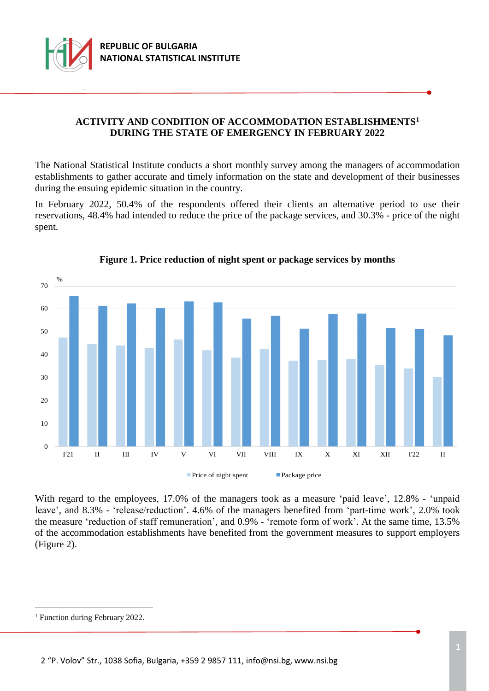

## **ACTIVITY AND CONDITION OF ACCOMMODATION ESTABLISHMENTS<sup>1</sup> DURING THE STATE OF EMERGENCY IN FEBRUARY 2022**

The National Statistical Institute conducts a short monthly survey among the managers of accommodation establishments to gather accurate and timely information on the state and development of their businesses during the ensuing epidemic situation in the country.

In February 2022, 50.4% of the respondents offered their clients an alternative period to use their reservations, 48.4% had intended to reduce the price of the package services, and 30.3% - price of the night spent.



### **Figure 1. Price reduction of night spent or package services by months**

With regard to the employees, 17.0% of the managers took as a measure 'paid leave', 12.8% - 'unpaid leave', and 8.3% - 'release/reduction'. 4.6% of the managers benefited from 'part-time work', 2.0% took the measure 'reduction of staff remuneration', and 0.9% - 'remote form of work'. At the same time, 13.5% of the accommodation establishments have benefited from the government measures to support employers (Figure 2).

i<br>L

<sup>&</sup>lt;sup>1</sup> Function during February 2022.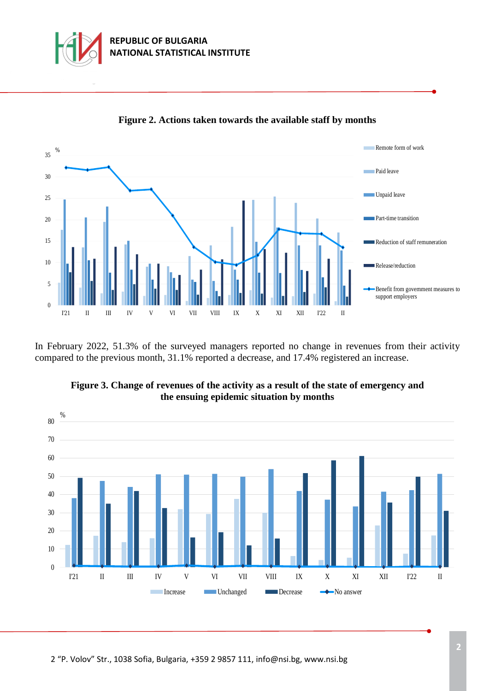



**Figure 2. Actions taken towards the available staff by months**

In February 2022, 51.3% of the surveyed managers reported no change in revenues from their activity compared to the previous month, 31.1% reported a decrease, and 17.4% registered an increase.



**Figure 3. Change of revenues of the activity as a result of the state of emergency and the ensuing epidemic situation by months**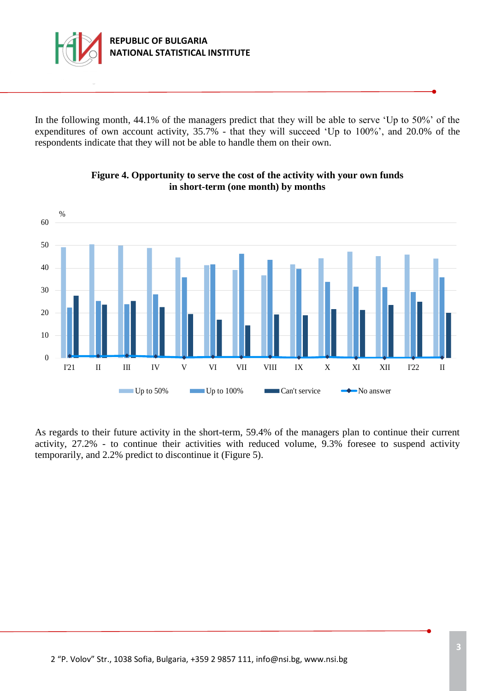

In the following month, 44.1% of the managers predict that they will be able to serve 'Up to 50%' of the expenditures of own account activity, 35.7% - that they will succeed 'Up to 100%', and 20.0% of the respondents indicate that they will not be able to handle them on their own.



# **Figure 4. Opportunity to serve the cost of the activity with your own funds in short-term (one month) by months**

As regards to their future activity in the short-term, 59.4% of the managers plan to continue their current activity, 27.2% - to continue their activities with reduced volume, 9.3% foresee to suspend activity temporarily, and 2.2% predict to discontinue it (Figure 5).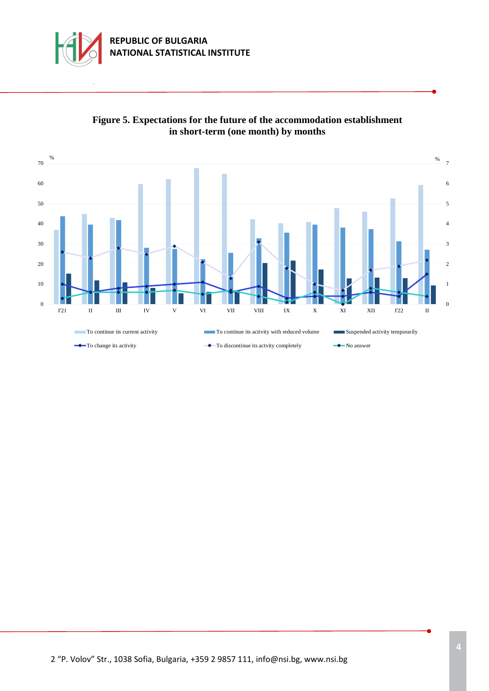



## **Figure 5. Expectations for the future of the accommodation establishment in short-term (one month) by months**

2 "P. Volov" Str., 1038 Sofia, Bulgaria, +359 2 9857 111[, info@nsi.bg,](mailto:info@nsi.bg) www.nsi.bg